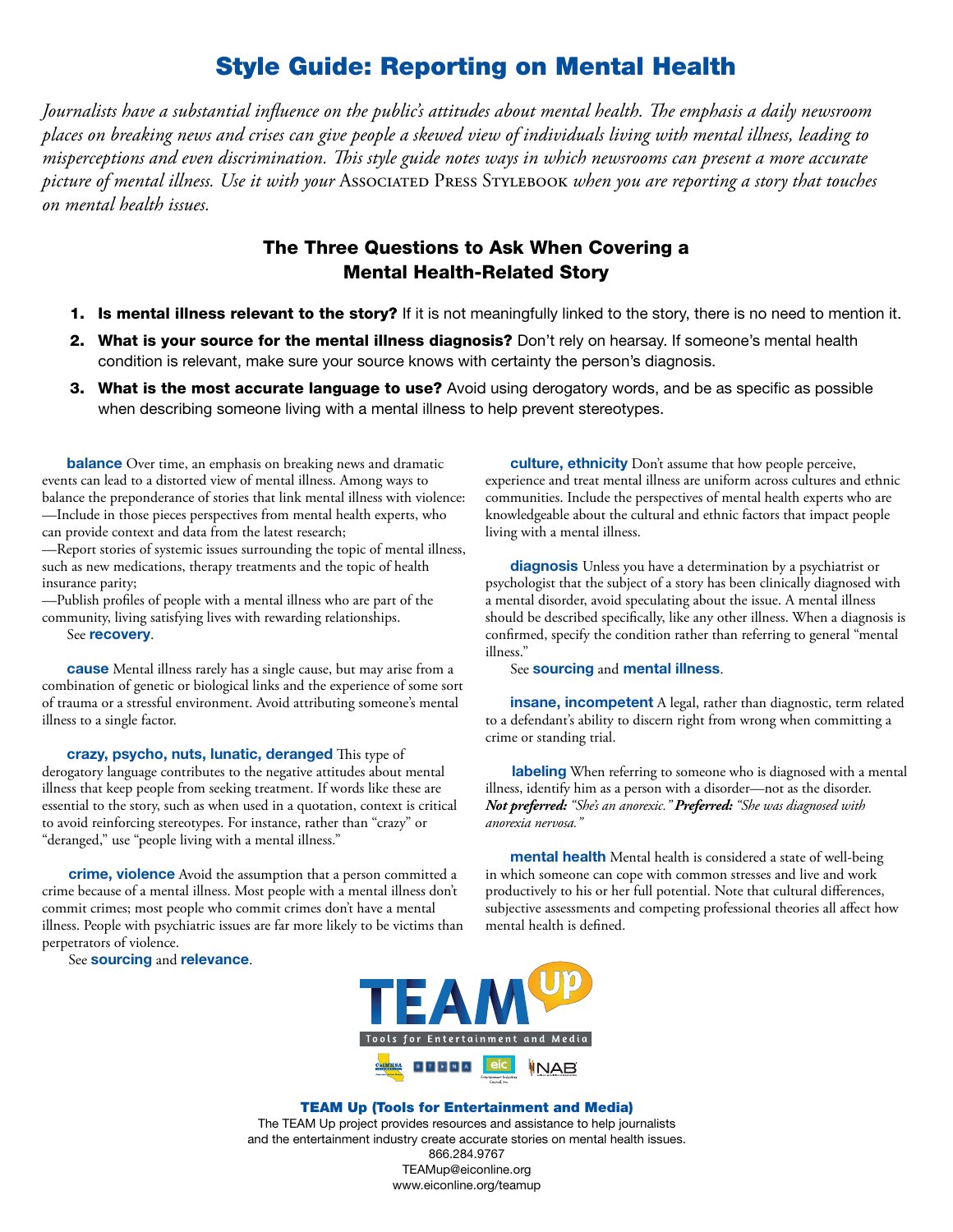## Style Guide: Reporting on Mental Health

*Journalists have a substantial influence on the public's attitudes about mental health. The emphasis a daily newsroom places on breaking news and crises can give people a skewed view of individuals living with mental illness, leading to misperceptions and even discrimination. !is style guide notes ways in which newsrooms can present a more accurate picture of mental illness. Use it with your* Associated Press Stylebook *when you are reporting a story that touches on mental health issues.* 

## The Three Questions to Ask When Covering a Mental Health-Related Story

- 1. Is mental illness relevant to the story? If it is not meaningfully linked to the story, there is no need to mention it.
- 2. What is your source for the mental illness diagnosis? Don't rely on hearsay. If someone's mental health condition is relevant, make sure your source knows with certainty the person's diagnosis.
- **3. What is the most accurate language to use?** Avoid using derogatory words, and be as specific as possible when describing someone living with a mental illness to help prevent stereotypes.

**balance** Over time, an emphasis on breaking news and dramatic events can lead to a distorted view of mental illness. Among ways to balance the preponderance of stories that link mental illness with violence: —Include in those pieces perspectives from mental health experts, who can provide context and data from the latest research;

—Report stories of systemic issues surrounding the topic of mental illness, such as new medications, therapy treatments and the topic of health insurance parity;

—Publish profiles of people with a mental illness who are part of the community, living satisfying lives with rewarding relationships. See **recovery**.

**cause** Mental illness rarely has a single cause, but may arise from a combination of genetic or biological links and the experience of some sort of trauma or a stressful environment. Avoid attributing someone's mental illness to a single factor.

crazy, psycho, nuts, lunatic, deranged This type of derogatory language contributes to the negative attitudes about mental illness that keep people from seeking treatment. If words like these are essential to the story, such as when used in a quotation, context is critical to avoid reinforcing stereotypes. For instance, rather than "crazy" or "deranged," use "people living with a mental illness."

**crime, violence** Avoid the assumption that a person committed a crime because of a mental illness. Most people with a mental illness don't commit crimes; most people who commit crimes don't have a mental illness. People with psychiatric issues are far more likely to be victims than perpetrators of violence.

See **sourcing** and **relevance**.

**culture, ethnicity** Don't assume that how people perceive, experience and treat mental illness are uniform across cultures and ethnic communities. Include the perspectives of mental health experts who are knowledgeable about the cultural and ethnic factors that impact people living with a mental illness.

**diagnosis** Unless you have a determination by a psychiatrist or psychologist that the subject of a story has been clinically diagnosed with a mental disorder, avoid speculating about the issue. A mental illness should be described specifically, like any other illness. When a diagnosis is confirmed, specify the condition rather than referring to general "mental illness."

See **sourcing** and **mental illness**.

**insane, incompetent** A legal, rather than diagnostic, term related to a defendant's ability to discern right from wrong when committing a crime or standing trial.

**labeling** When referring to someone who is diagnosed with a mental illness, identify him as a person with a disorder—not as the disorder. *Not preferred: "She's an anorexic." Preferred: "She was diagnosed with anorexia nervosa."*

**mental health** Mental health is considered a state of well-being in which someone can cope with common stresses and live and work productively to his or her full potential. Note that cultural differences, subjective assessments and competing professional theories all affect how mental health is defined.



## TEAM Up (Tools for Entertainment and Media)

The TEAM Up project provides resources and assistance to help journalists and the entertainment industry create accurate stories on mental health issues. 866.284.9767 TEAMup@eiconline.org

www.eiconline.org/teamup